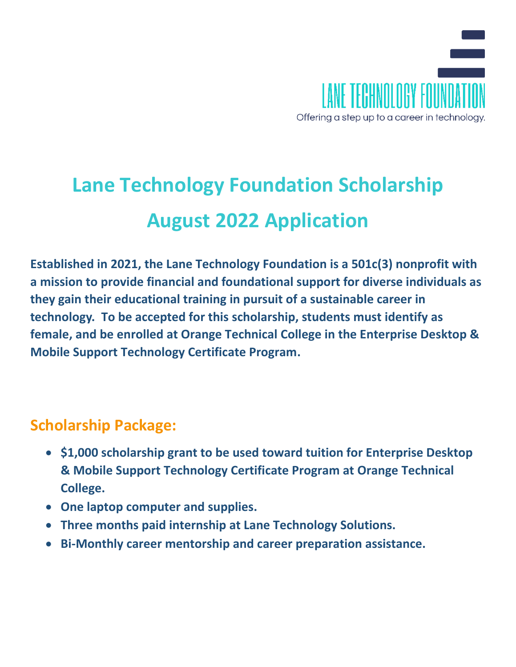

# **Lane Technology Foundation Scholarship August 2022 Application**

**Established in 2021, the Lane Technology Foundation is a 501c(3) nonprofit with a mission to provide financial and foundational support for diverse individuals as they gain their educational training in pursuit of a sustainable career in technology. To be accepted for this scholarship, students must identify as female, and be enrolled at Orange Technical College in the Enterprise Desktop & Mobile Support Technology Certificate Program.**

## **Scholarship Package:**

- **\$1,000 scholarship grant to be used toward tuition for Enterprise Desktop & Mobile Support Technology Certificate Program at Orange Technical College.**
- **One laptop computer and supplies.**
- **Three months paid internship at Lane Technology Solutions.**
- **Bi-Monthly career mentorship and career preparation assistance.**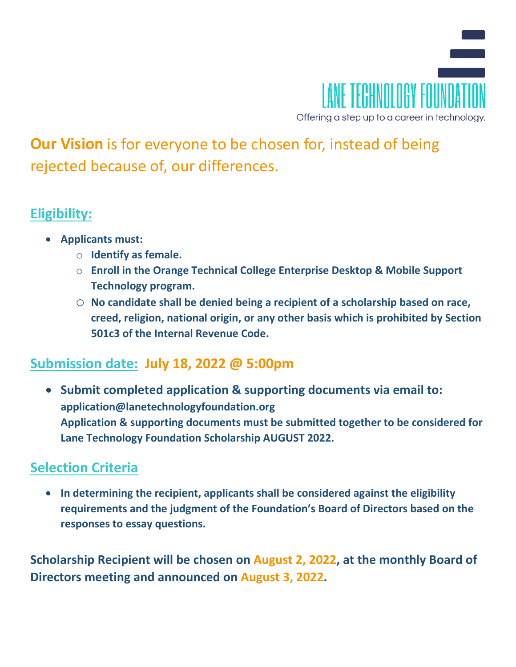

**Our Vision** is for everyone to be chosen for, instead of being rejected because of, our differences.

#### **Eligibility:**

- **Applicants must:**
	- o **Identify as female.**
	- o **Enroll in the Orange Technical College Enterprise Desktop & Mobile Support Technology program.**
	- o **No candidate shall be denied being a recipient of a scholarship based on race, creed, religion, national origin, or any other basis which is prohibited by Section 501c3 of the Internal Revenue Code.**

## **Submission date: July 18, 2022 @ 5:00pm**

• **Submit completed application & supporting documents via email to: application@lanetechnologyfoundation.org Application & supporting documents must be submitted together to be considered for Lane Technology Foundation Scholarship AUGUST 2022.** 

## **Selection Criteria**

• **In determining the recipient, applicants shall be considered against the eligibility requirements and the judgment of the Foundation's Board of Directors based on the responses to essay questions.** 

**Scholarship Recipient will be chosen on August 2, 2022, at the monthly Board of Directors meeting and announced on August 3, 2022.**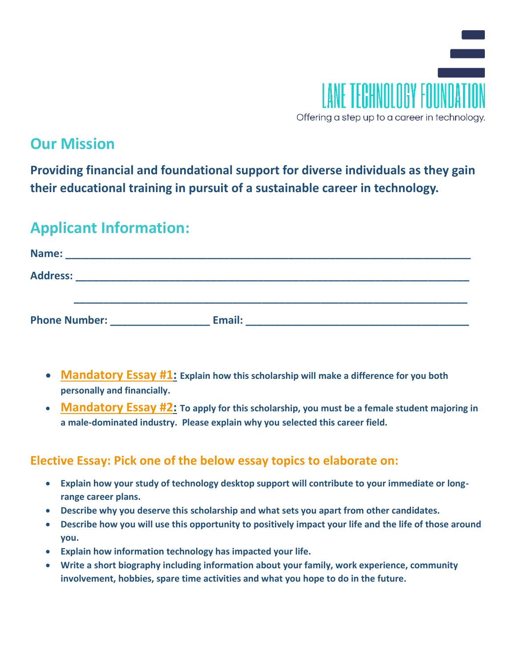

## **Our Mission**

**Providing financial and foundational support for diverse individuals as they gain their educational training in pursuit of a sustainable career in technology.** 

## **Applicant Information:**

| Name:                |        |  |
|----------------------|--------|--|
| <b>Address:</b>      |        |  |
|                      |        |  |
| <b>Phone Number:</b> | Email: |  |

- **Mandatory Essay #1: Explain how this scholarship will make a difference for you both personally and financially.**
- **Mandatory Essay #2: To apply for this scholarship, you must be a female student majoring in a male-dominated industry. Please explain why you selected this career field.**

#### **Elective Essay: Pick one of the below essay topics to elaborate on:**

- **Explain how your study of technology desktop support will contribute to your immediate or longrange career plans.**
- **Describe why you deserve this scholarship and what sets you apart from other candidates.**
- **Describe how you will use this opportunity to positively impact your life and the life of those around you.**
- **Explain how information technology has impacted your life.**
- **Write a short biography including information about your family, work experience, community involvement, hobbies, spare time activities and what you hope to do in the future.**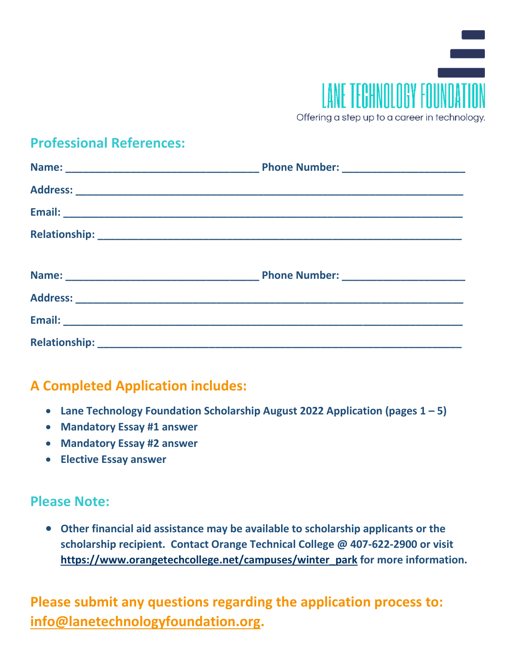

#### **Professional References:**

#### **A Completed Application includes:**

- **Lane Technology Foundation Scholarship August 2022 Application (pages 1 – 5)**
- **Mandatory Essay #1 answer**
- **Mandatory Essay #2 answer**
- **Elective Essay answer**

#### **Please Note:**

• **Other financial aid assistance may be available to scholarship applicants or the scholarship recipient. Contact Orange Technical College @ 407-622-2900 or visit https://www.orangetechcollege.net/campuses/winter\_park for more information.**

**Please submit any questions regarding the application process to: info@lanetechnologyfoundation.org.**